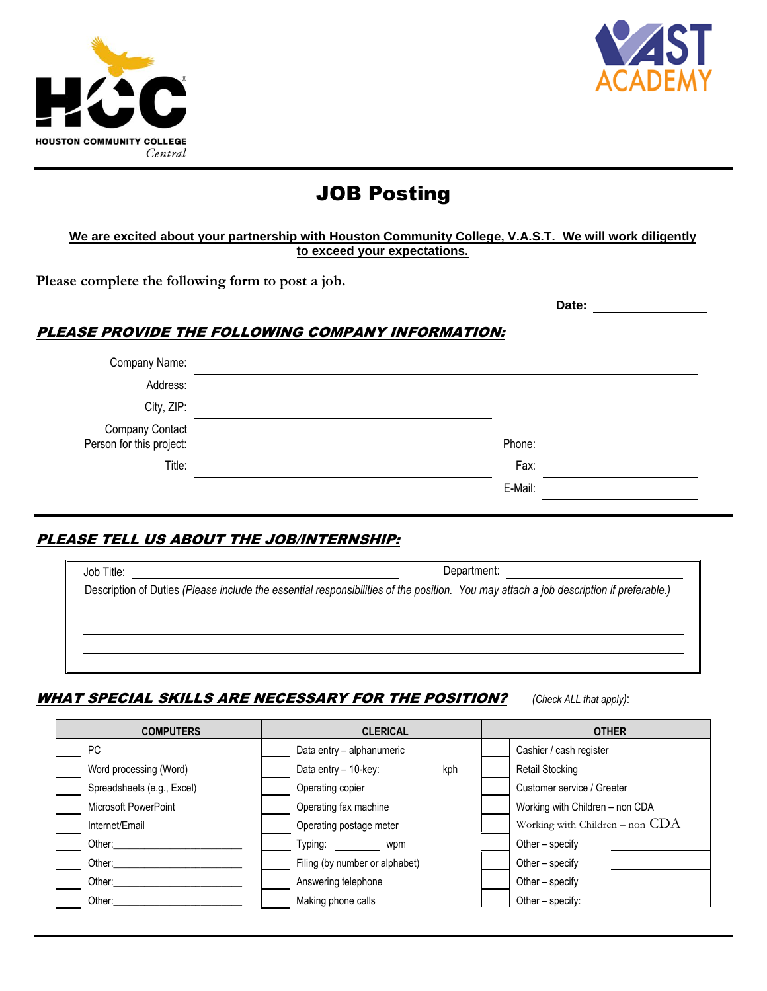



**Date:**

# JOB Posting

### **We are excited about your partnership with Houston Community College, V.A.S.T. We will work diligently to exceed your expectations.**

**Please complete the following form to post a job.**

## PLEASE PROVIDE THE FOLLOWING COMPANY INFORMATION:

| Company Name:                               |         |
|---------------------------------------------|---------|
| Address:                                    |         |
| City, ZIP:                                  |         |
| Company Contact<br>:Person for this project | Phone:  |
| Title:                                      | Fax:    |
|                                             | E-Mail: |

## PLEASE TELL US ABOUT THE JOB/INTERNSHIP:

|                                                                                                                                        | Department: <u>________________________________</u> |
|----------------------------------------------------------------------------------------------------------------------------------------|-----------------------------------------------------|
| Description of Duties (Please include the essential responsibilities of the position. You may attach a job description if preferable.) |                                                     |
|                                                                                                                                        |                                                     |
|                                                                                                                                        |                                                     |
|                                                                                                                                        |                                                     |
|                                                                                                                                        |                                                     |

## WHAT SPECIAL SKILLS ARE NECESSARY FOR THE POSITION? *(Check ALL that apply)*:

| <b>COMPUTERS</b>           | <b>CLERICAL</b> |                                |  | <b>OTHER</b>                        |  |  |  |  |
|----------------------------|-----------------|--------------------------------|--|-------------------------------------|--|--|--|--|
| PC                         |                 | Data entry - alphanumeric      |  | Cashier / cash register             |  |  |  |  |
| Word processing (Word)     |                 | Data entry - 10-key:<br>kph    |  | Retail Stocking                     |  |  |  |  |
| Spreadsheets (e.g., Excel) |                 | Operating copier               |  | Customer service / Greeter          |  |  |  |  |
| Microsoft PowerPoint       |                 | Operating fax machine          |  | Working with Children - non CDA     |  |  |  |  |
| Internet/Email             |                 | Operating postage meter        |  | Working with Children $-$ non $CDA$ |  |  |  |  |
| Other:                     |                 | Typing:<br>wpm                 |  | Other – specify                     |  |  |  |  |
| Other:                     |                 | Filing (by number or alphabet) |  | Other – specify                     |  |  |  |  |
| Other:                     |                 | Answering telephone            |  | Other - specify                     |  |  |  |  |
| Other:                     |                 | Making phone calls             |  | Other - specify:                    |  |  |  |  |